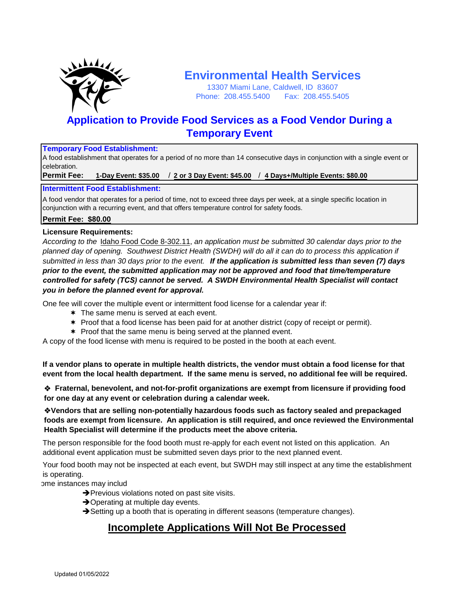

# **Environmental Health Services**

13307 Miami Lane, Caldwell, ID 83607 Phone: 208.455.5400 Fax: 208.455.5405

## **Application to Provide Food Services as a Food Vendor During a Temporary Event**

### **Temporary Food Establishment:**

A food establishment that operates for a period of no more than 14 consecutive days in conjunction with a single event or celebration.

**Permit Fee: 1-Day Event: \$35.00** / **2 or 3 Day Event: \$45.00** / **4 Days+/Multiple Events: \$80.00**

### **Intermittent Food Establishment:**

A food vendor that operates for a period of time, not to exceed three days per week, at a single specific location in conjunction with a recurring event, and that offers temperature control for safety foods.

### **Permit Fee: \$80.00**

### **Licensure Requirements:**

*According to the* Idaho Food Code 8-302.11, *an application must be submitted 30 calendar days prior to the planned day of opening. Southwest District Health (SWDH) will do all it can do to process this application if submitted in less than 30 days prior to the event. If the application is submitted less than seven (7) days prior to the event, the submitted application may not be approved and food that time/temperature controlled for safety (TCS) cannot be served. A SWDH Environmental Health Specialist will contact*

# *you in before the planned event for approval.*

One fee will cover the multiple event or intermittent food license for a calendar year if:

- \* The same menu is served at each event.
- $*$  Proof that a food license has been paid for at another district (copy of receipt or permit).
- \* Proof that the same menu is being served at the planned event.

A copy of the food license with menu is required to be posted in the booth at each event.

**If a vendor plans to operate in multiple health districts, the vendor must obtain a food license for that event from the local health department. If the same menu is served, no additional fee will be required.**

v **Fraternal, benevolent, and not-for-profit organizations are exempt from licensure if providing food for one day at any event or celebration during a calendar week.**

v**Vendors that are selling non-potentially hazardous foods such as factory sealed and prepackaged foods are exempt from licensure. An application is still required, and once reviewed the Environmental Health Specialist will determine if the products meet the above criteria.**

The person responsible for the food booth must re-apply for each event not listed on this application. An additional event application must be submitted seven days prior to the next planned event.

Your food booth may not be inspected at each event, but SWDH may still inspect at any time the establishment is operating.

ome instances may includ

- $\rightarrow$  Previous violations noted on past site visits.
- $\rightarrow$  Operating at multiple day events.
- $\rightarrow$  Setting up a booth that is operating in different seasons (temperature changes).

## **Incomplete Applications Will Not Be Processed**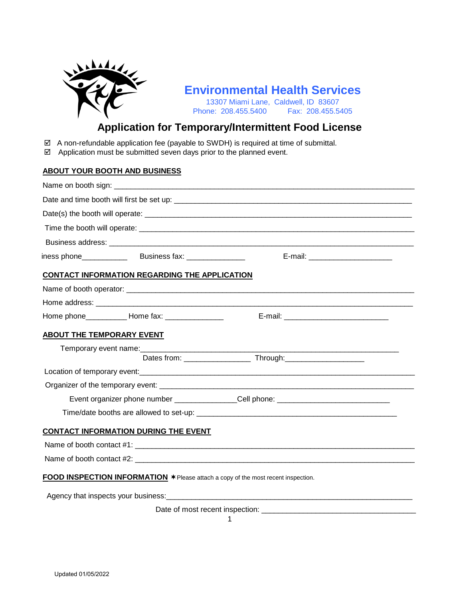

# **Environmental Health Services**

13307 Miami Lane, Caldwell, ID 83607<br>ne: 208.455.5400 Fax: 208.455.5405 Phone: 208.455.5400

## **Application for Temporary/Intermittent Food License**

- $\boxtimes$  A non-refundable application fee (payable to SWDH) is required at time of submittal.
- $\boxtimes$  Application must be submitted seven days prior to the planned event.

### **ABOUT YOUR BOOTH AND BUSINESS**

|                                  |                                                                                   | E-mail: __________________________                                                                                                                                                                                             |  |
|----------------------------------|-----------------------------------------------------------------------------------|--------------------------------------------------------------------------------------------------------------------------------------------------------------------------------------------------------------------------------|--|
|                                  | <b>CONTACT INFORMATION REGARDING THE APPLICATION</b>                              |                                                                                                                                                                                                                                |  |
|                                  |                                                                                   |                                                                                                                                                                                                                                |  |
|                                  |                                                                                   |                                                                                                                                                                                                                                |  |
|                                  |                                                                                   |                                                                                                                                                                                                                                |  |
| <b>ABOUT THE TEMPORARY EVENT</b> |                                                                                   |                                                                                                                                                                                                                                |  |
|                                  | Temporary event name:<br><u> Temporary</u> event name:                            |                                                                                                                                                                                                                                |  |
|                                  |                                                                                   |                                                                                                                                                                                                                                |  |
|                                  |                                                                                   |                                                                                                                                                                                                                                |  |
|                                  |                                                                                   |                                                                                                                                                                                                                                |  |
|                                  |                                                                                   | Event organizer phone number ________________Cell phone: _______________________                                                                                                                                               |  |
|                                  |                                                                                   |                                                                                                                                                                                                                                |  |
|                                  | <b>CONTACT INFORMATION DURING THE EVENT</b>                                       |                                                                                                                                                                                                                                |  |
|                                  |                                                                                   | Name of booth contact #1: Next and the state of the state of the state of the state of the state of the state of the state of the state of the state of the state of the state of the state of the state of the state of the s |  |
|                                  |                                                                                   |                                                                                                                                                                                                                                |  |
|                                  | FOOD INSPECTION INFORMATION * Please attach a copy of the most recent inspection. |                                                                                                                                                                                                                                |  |
|                                  |                                                                                   |                                                                                                                                                                                                                                |  |
|                                  |                                                                                   |                                                                                                                                                                                                                                |  |
|                                  | Date of most recent inspection: ____                                              |                                                                                                                                                                                                                                |  |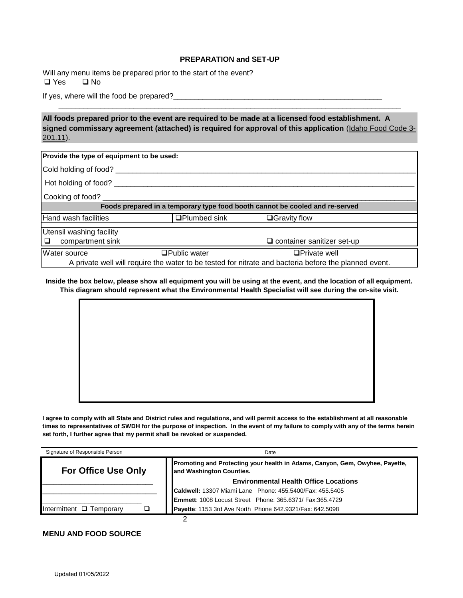#### **PREPARATION and SET-UP**

 $\Box$  Yes  $\Box$  No Will any menu items be prepared prior to the start of the event?

If yes, where will the food be prepared?

**All foods prepared prior to the event are required to be made at a licensed food establishment. A signed commissary agreement (attached) is required for approval of this application** (Idaho Food Code 3- 201.11).

\_\_\_\_\_\_\_\_\_\_\_\_\_\_\_\_\_\_\_\_\_\_\_\_\_\_\_\_\_\_\_\_\_\_\_\_\_\_\_\_\_\_\_\_\_\_\_\_\_\_\_\_\_\_\_\_\_\_\_\_\_\_\_\_\_\_\_\_\_\_\_\_\_\_\_\_\_\_\_\_\_\_

| Provide the type of equipment to be used:                                                             |                      |                                   |  |  |  |
|-------------------------------------------------------------------------------------------------------|----------------------|-----------------------------------|--|--|--|
| Cold holding of food?                                                                                 |                      |                                   |  |  |  |
| Hot holding of food?                                                                                  |                      |                                   |  |  |  |
| Cooking of food?                                                                                      |                      |                                   |  |  |  |
| Foods prepared in a temporary type food booth cannot be cooled and re-served                          |                      |                                   |  |  |  |
| Hand wash facilities                                                                                  | <b>□Plumbed sink</b> | $\Box$ Gravity flow               |  |  |  |
| Utensil washing facility                                                                              |                      |                                   |  |  |  |
| compartment sink<br>□                                                                                 |                      | $\Box$ container sanitizer set-up |  |  |  |
| <b>Water source</b>                                                                                   | <b>□Public water</b> | $\Box$ Private well               |  |  |  |
| A private well will require the water to be tested for nitrate and bacteria before the planned event. |                      |                                   |  |  |  |

**Inside the box below, please show all equipment you will be using at the event, and the location of all equipment. This diagram should represent what the Environmental Health Specialist will see during the on-site visit.**



**I agree to comply with all State and District rules and regulations, and will permit access to the establishment at all reasonable times to representatives of SWDH for the purpose of inspection. In the event of my failure to comply with any of the terms herein set forth, I further agree that my permit shall be revoked or suspended.**

| Signature of Responsible Person | Date                                                                                                     |  |
|---------------------------------|----------------------------------------------------------------------------------------------------------|--|
| <b>For Office Use Only</b>      | Promoting and Protecting your health in Adams, Canyon, Gem, Owyhee, Payette,<br>and Washington Counties. |  |
|                                 | <b>Environmental Health Office Locations</b>                                                             |  |
|                                 | Caldwell: 13307 Miami Lane Phone: 455.5400/Fax: 455.5405                                                 |  |
|                                 | Emmett: 1008 Locust Street Phone: 365.6371/ Fax:365.4729                                                 |  |
| Intermittent $\Box$ Temporary   | Payette: 1153 3rd Ave North Phone 642.9321/Fax: 642.5098                                                 |  |
|                                 |                                                                                                          |  |

#### **MENU AND FOOD SOURCE**